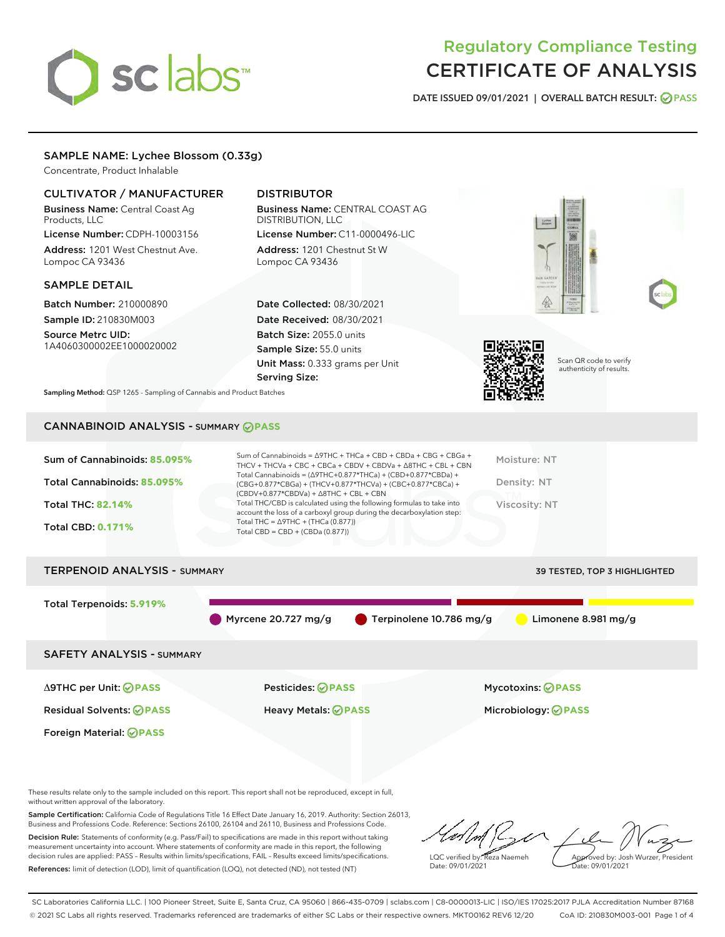# sclabs

# Regulatory Compliance Testing CERTIFICATE OF ANALYSIS

DATE ISSUED 09/01/2021 | OVERALL BATCH RESULT: @ PASS

## SAMPLE NAME: Lychee Blossom (0.33g)

Concentrate, Product Inhalable

## CULTIVATOR / MANUFACTURER

Business Name: Central Coast Ag Products, LLC

License Number: CDPH-10003156 Address: 1201 West Chestnut Ave. Lompoc CA 93436

#### SAMPLE DETAIL

Batch Number: 210000890 Sample ID: 210830M003

Source Metrc UID: 1A4060300002EE1000020002

# DISTRIBUTOR

Business Name: CENTRAL COAST AG DISTRIBUTION, LLC License Number: C11-0000496-LIC

Address: 1201 Chestnut St W Lompoc CA 93436

Date Collected: 08/30/2021 Date Received: 08/30/2021 Batch Size: 2055.0 units Sample Size: 55.0 units Unit Mass: 0.333 grams per Unit Serving Size:





Scan QR code to verify authenticity of results.

Sampling Method: QSP 1265 - Sampling of Cannabis and Product Batches

# CANNABINOID ANALYSIS - SUMMARY **PASS**



# TERPENOID ANALYSIS - SUMMARY 39 TESTED, TOP 3 HIGHLIGHTED Total Terpenoids: **5.919%** Myrcene 20.727 mg/g **C** Terpinolene 10.786 mg/g C Limonene 8.981 mg/g SAFETY ANALYSIS - SUMMARY Δ9THC per Unit: **PASS** Pesticides: **PASS** Mycotoxins: **PASS**

Foreign Material: **PASS**

Residual Solvents: **PASS** Heavy Metals: **PASS** Microbiology: **PASS**

These results relate only to the sample included on this report. This report shall not be reproduced, except in full, without written approval of the laboratory.

Sample Certification: California Code of Regulations Title 16 Effect Date January 16, 2019. Authority: Section 26013, Business and Professions Code. Reference: Sections 26100, 26104 and 26110, Business and Professions Code. Decision Rule: Statements of conformity (e.g. Pass/Fail) to specifications are made in this report without taking

measurement uncertainty into account. Where statements of conformity are made in this report, the following decision rules are applied: PASS – Results within limits/specifications, FAIL – Results exceed limits/specifications. References: limit of detection (LOD), limit of quantification (LOQ), not detected (ND), not tested (NT)

LQC verified by: Reza Naemeh Date: 09/01/2021 Approved by: Josh Wurzer, President Date: 09/01/2021

SC Laboratories California LLC. | 100 Pioneer Street, Suite E, Santa Cruz, CA 95060 | 866-435-0709 | sclabs.com | C8-0000013-LIC | ISO/IES 17025:2017 PJLA Accreditation Number 87168 © 2021 SC Labs all rights reserved. Trademarks referenced are trademarks of either SC Labs or their respective owners. MKT00162 REV6 12/20 CoA ID: 210830M003-001 Page 1 of 4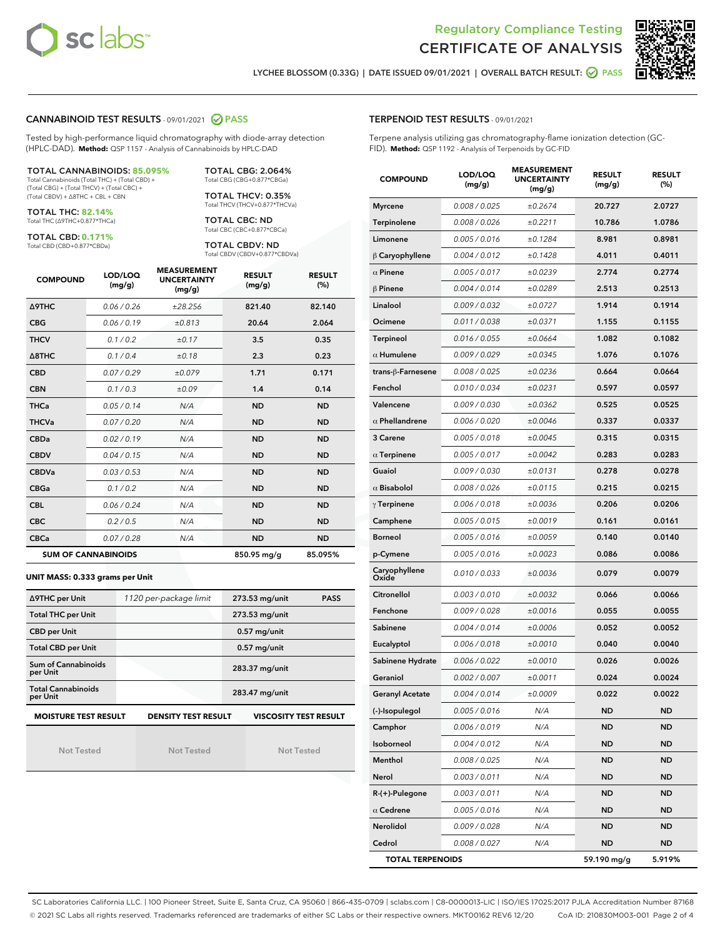



LYCHEE BLOSSOM (0.33G) | DATE ISSUED 09/01/2021 | OVERALL BATCH RESULT: @ PASS

#### CANNABINOID TEST RESULTS - 09/01/2021 2 PASS

Tested by high-performance liquid chromatography with diode-array detection (HPLC-DAD). **Method:** QSP 1157 - Analysis of Cannabinoids by HPLC-DAD

#### TOTAL CANNABINOIDS: **85.095%**

Total Cannabinoids (Total THC) + (Total CBD) + (Total CBG) + (Total THCV) + (Total CBC) + (Total CBDV) + ∆8THC + CBL + CBN

TOTAL THC: **82.14%** Total THC (∆9THC+0.877\*THCa)

TOTAL CBD: **0.171%**

Total CBD (CBD+0.877\*CBDa)

TOTAL CBG: 2.064% Total CBG (CBG+0.877\*CBGa)

TOTAL THCV: 0.35% Total THCV (THCV+0.877\*THCVa)

TOTAL CBC: ND Total CBC (CBC+0.877\*CBCa)

TOTAL CBDV: ND Total CBDV (CBDV+0.877\*CBDVa)

| <b>COMPOUND</b>  | LOD/LOQ<br>(mg/g)          | <b>MEASUREMENT</b><br><b>UNCERTAINTY</b><br>(mg/g) | <b>RESULT</b><br>(mg/g) | <b>RESULT</b><br>(%) |
|------------------|----------------------------|----------------------------------------------------|-------------------------|----------------------|
| <b>A9THC</b>     | 0.06 / 0.26                | ±28.256                                            | 821.40                  | 82.140               |
| <b>CBG</b>       | 0.06/0.19                  | ±0.813                                             | 20.64                   | 2.064                |
| <b>THCV</b>      | 0.1/0.2                    | ±0.17                                              | 3.5                     | 0.35                 |
| $\triangle$ 8THC | 0.1/0.4                    | ±0.18                                              | 2.3                     | 0.23                 |
| <b>CBD</b>       | 0.07/0.29                  | ±0.079                                             | 1.71                    | 0.171                |
| <b>CBN</b>       | 0.1/0.3                    | ±0.09                                              | 1.4                     | 0.14                 |
| <b>THCa</b>      | 0.05/0.14                  | N/A                                                | <b>ND</b>               | <b>ND</b>            |
| <b>THCVa</b>     | 0.07/0.20                  | N/A                                                | <b>ND</b>               | <b>ND</b>            |
| <b>CBDa</b>      | 0.02/0.19                  | N/A                                                | <b>ND</b>               | <b>ND</b>            |
| <b>CBDV</b>      | 0.04 / 0.15                | N/A                                                | <b>ND</b>               | <b>ND</b>            |
| <b>CBDVa</b>     | 0.03/0.53                  | N/A                                                | <b>ND</b>               | <b>ND</b>            |
| <b>CBGa</b>      | 0.1 / 0.2                  | N/A                                                | <b>ND</b>               | <b>ND</b>            |
| <b>CBL</b>       | 0.06/0.24                  | N/A                                                | <b>ND</b>               | <b>ND</b>            |
| <b>CBC</b>       | 0.2 / 0.5                  | N/A                                                | <b>ND</b>               | <b>ND</b>            |
| <b>CBCa</b>      | 0.07/0.28                  | N/A                                                | <b>ND</b>               | <b>ND</b>            |
|                  | <b>SUM OF CANNABINOIDS</b> |                                                    | 850.95 mg/g             | 85.095%              |

#### **UNIT MASS: 0.333 grams per Unit**

| ∆9THC per Unit                                                                            | 1120 per-package limit | 273.53 mg/unit<br><b>PASS</b> |  |  |
|-------------------------------------------------------------------------------------------|------------------------|-------------------------------|--|--|
| <b>Total THC per Unit</b>                                                                 |                        | 273.53 mg/unit                |  |  |
| <b>CBD per Unit</b>                                                                       |                        | $0.57$ mg/unit                |  |  |
| <b>Total CBD per Unit</b>                                                                 |                        | $0.57$ mg/unit                |  |  |
| Sum of Cannabinoids<br>per Unit                                                           |                        | 283.37 mg/unit                |  |  |
| <b>Total Cannabinoids</b><br>per Unit                                                     |                        | 283.47 mg/unit                |  |  |
| <b>MOISTURE TEST RESULT</b><br><b>VISCOSITY TEST RESULT</b><br><b>DENSITY TEST RESULT</b> |                        |                               |  |  |

Not Tested

Not Tested

Not Tested

#### TERPENOID TEST RESULTS - 09/01/2021

Terpene analysis utilizing gas chromatography-flame ionization detection (GC-FID). **Method:** QSP 1192 - Analysis of Terpenoids by GC-FID

| <b>COMPOUND</b>         | LOD/LOQ<br>(mg/g) | <b>MEASUREMENT</b><br><b>UNCERTAINTY</b><br>(mg/g) | <b>RESULT</b><br>(mg/g) | <b>RESULT</b><br>$(\%)$ |
|-------------------------|-------------------|----------------------------------------------------|-------------------------|-------------------------|
| <b>Myrcene</b>          | 0.008 / 0.025     | ±0.2674                                            | 20.727                  | 2.0727                  |
| Terpinolene             | 0.008 / 0.026     | ±0.2211                                            | 10.786                  | 1.0786                  |
| Limonene                | 0.005 / 0.016     | ±0.1284                                            | 8.981                   | 0.8981                  |
| $\beta$ Caryophyllene   | 0.004 / 0.012     | ±0.1428                                            | 4.011                   | 0.4011                  |
| $\alpha$ Pinene         | 0.005 / 0.017     | ±0.0239                                            | 2.774                   | 0.2774                  |
| $\beta$ Pinene          | 0.004 / 0.014     | ±0.0289                                            | 2.513                   | 0.2513                  |
| Linalool                | 0.009 / 0.032     | ±0.0727                                            | 1.914                   | 0.1914                  |
| Ocimene                 | 0.011 / 0.038     | ±0.0371                                            | 1.155                   | 0.1155                  |
| Terpineol               | 0.016 / 0.055     | ±0.0664                                            | 1.082                   | 0.1082                  |
| $\alpha$ Humulene       | 0.009 / 0.029     | ±0.0345                                            | 1.076                   | 0.1076                  |
| trans-β-Farnesene       | 0.008 / 0.025     | ±0.0236                                            | 0.664                   | 0.0664                  |
| Fenchol                 | 0.010 / 0.034     | ±0.0231                                            | 0.597                   | 0.0597                  |
| Valencene               | 0.009 / 0.030     | ±0.0362                                            | 0.525                   | 0.0525                  |
| $\alpha$ Phellandrene   | 0.006 / 0.020     | ±0.0046                                            | 0.337                   | 0.0337                  |
| 3 Carene                | 0.005 / 0.018     | ±0.0045                                            | 0.315                   | 0.0315                  |
| $\alpha$ Terpinene      | 0.005 / 0.017     | ±0.0042                                            | 0.283                   | 0.0283                  |
| Guaiol                  | 0.009 / 0.030     | ±0.0131                                            | 0.278                   | 0.0278                  |
| $\alpha$ Bisabolol      | 0.008 / 0.026     | ±0.0115                                            | 0.215                   | 0.0215                  |
| $\gamma$ Terpinene      | 0.006 / 0.018     | ±0.0036                                            | 0.206                   | 0.0206                  |
| Camphene                | 0.005 / 0.015     | ±0.0019                                            | 0.161                   | 0.0161                  |
| <b>Borneol</b>          | 0.005 / 0.016     | ±0.0059                                            | 0.140                   | 0.0140                  |
| p-Cymene                | 0.005 / 0.016     | ±0.0023                                            | 0.086                   | 0.0086                  |
| Caryophyllene<br>Oxide  | 0.010 / 0.033     | ±0.0036                                            | 0.079                   | 0.0079                  |
| Citronellol             | 0.003 / 0.010     | ±0.0032                                            | 0.066                   | 0.0066                  |
| Fenchone                | 0.009 / 0.028     | ±0.0016                                            | 0.055                   | 0.0055                  |
| Sabinene                | 0.004 / 0.014     | ±0.0006                                            | 0.052                   | 0.0052                  |
| Eucalyptol              | 0.006 / 0.018     | ±0.0010                                            | 0.040                   | 0.0040                  |
| Sabinene Hydrate        | 0.006 / 0.022     | ±0.0010                                            | 0.026                   | 0.0026                  |
| Geraniol                | 0.002 / 0.007     | ±0.0011                                            | 0.024                   | 0.0024                  |
| <b>Geranyl Acetate</b>  | 0.004 / 0.014     | ±0.0009                                            | 0.022                   | 0.0022                  |
| (-)-Isopulegol          | 0.005 / 0.016     | N/A                                                | <b>ND</b>               | <b>ND</b>               |
| Camphor                 | 0.006 / 0.019     | N/A                                                | <b>ND</b>               | <b>ND</b>               |
| Isoborneol              | 0.004 / 0.012     | N/A                                                | <b>ND</b>               | ND                      |
| Menthol                 | 0.008 / 0.025     | N/A                                                | <b>ND</b>               | <b>ND</b>               |
| Nerol                   | 0.003 / 0.011     | N/A                                                | ND                      | ND                      |
| R-(+)-Pulegone          | 0.003 / 0.011     | N/A                                                | <b>ND</b>               | ND                      |
| $\alpha$ Cedrene        | 0.005 / 0.016     | N/A                                                | <b>ND</b>               | ND                      |
| Nerolidol               | 0.009 / 0.028     | N/A                                                | ND                      | ND                      |
| Cedrol                  | 0.008 / 0.027     | N/A                                                | <b>ND</b>               | ND                      |
| <b>TOTAL TERPENOIDS</b> |                   |                                                    | 59.190 mg/g             | 5.919%                  |

SC Laboratories California LLC. | 100 Pioneer Street, Suite E, Santa Cruz, CA 95060 | 866-435-0709 | sclabs.com | C8-0000013-LIC | ISO/IES 17025:2017 PJLA Accreditation Number 87168 © 2021 SC Labs all rights reserved. Trademarks referenced are trademarks of either SC Labs or their respective owners. MKT00162 REV6 12/20 CoA ID: 210830M003-001 Page 2 of 4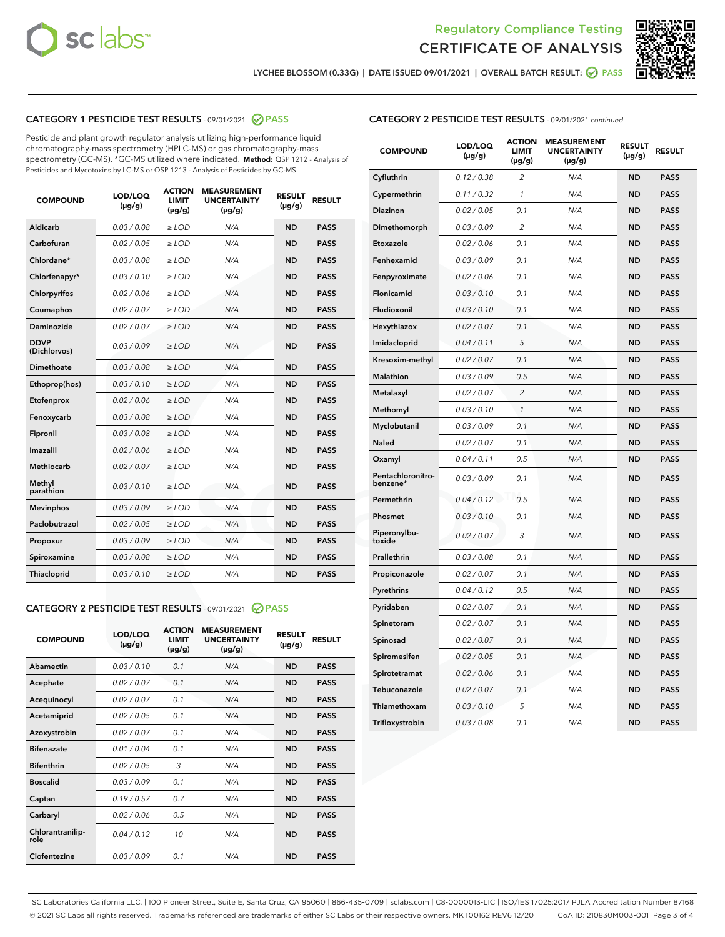



LYCHEE BLOSSOM (0.33G) | DATE ISSUED 09/01/2021 | OVERALL BATCH RESULT: @ PASS

## CATEGORY 1 PESTICIDE TEST RESULTS - 09/01/2021 2 PASS

Pesticide and plant growth regulator analysis utilizing high-performance liquid chromatography-mass spectrometry (HPLC-MS) or gas chromatography-mass spectrometry (GC-MS). \*GC-MS utilized where indicated. **Method:** QSP 1212 - Analysis of Pesticides and Mycotoxins by LC-MS or QSP 1213 - Analysis of Pesticides by GC-MS

| <b>COMPOUND</b>             | LOD/LOQ<br>$(\mu g/g)$ | <b>ACTION</b><br><b>LIMIT</b><br>$(\mu g/g)$ | <b>MEASUREMENT</b><br><b>UNCERTAINTY</b><br>$(\mu g/g)$ | <b>RESULT</b><br>$(\mu g/g)$ | <b>RESULT</b> |
|-----------------------------|------------------------|----------------------------------------------|---------------------------------------------------------|------------------------------|---------------|
| Aldicarb                    | 0.03/0.08              | $>$ LOD                                      | N/A                                                     | <b>ND</b>                    | <b>PASS</b>   |
| Carbofuran                  | 0.02 / 0.05            | $\ge$ LOD                                    | N/A                                                     | <b>ND</b>                    | <b>PASS</b>   |
| Chlordane*                  | 0.03 / 0.08            | $\geq$ LOD                                   | N/A                                                     | <b>ND</b>                    | <b>PASS</b>   |
| Chlorfenapyr*               | 0.03/0.10              | $\ge$ LOD                                    | N/A                                                     | <b>ND</b>                    | <b>PASS</b>   |
| Chlorpyrifos                | 0.02 / 0.06            | $\ge$ LOD                                    | N/A                                                     | <b>ND</b>                    | <b>PASS</b>   |
| Coumaphos                   | 0.02 / 0.07            | $\ge$ LOD                                    | N/A                                                     | <b>ND</b>                    | <b>PASS</b>   |
| Daminozide                  | 0.02/0.07              | $>$ LOD                                      | N/A                                                     | <b>ND</b>                    | <b>PASS</b>   |
| <b>DDVP</b><br>(Dichlorvos) | 0.03/0.09              | $\ge$ LOD                                    | N/A                                                     | <b>ND</b>                    | <b>PASS</b>   |
| <b>Dimethoate</b>           | 0.03/0.08              | $\ge$ LOD                                    | N/A                                                     | <b>ND</b>                    | <b>PASS</b>   |
| Ethoprop(hos)               | 0.03/0.10              | $\ge$ LOD                                    | N/A                                                     | <b>ND</b>                    | <b>PASS</b>   |
| Etofenprox                  | 0.02 / 0.06            | $\ge$ LOD                                    | N/A                                                     | <b>ND</b>                    | <b>PASS</b>   |
| Fenoxycarb                  | 0.03/0.08              | $\ge$ LOD                                    | N/A                                                     | <b>ND</b>                    | <b>PASS</b>   |
| Fipronil                    | 0.03/0.08              | $\ge$ LOD                                    | N/A                                                     | <b>ND</b>                    | <b>PASS</b>   |
| Imazalil                    | 0.02 / 0.06            | $>$ LOD                                      | N/A                                                     | <b>ND</b>                    | <b>PASS</b>   |
| Methiocarb                  | 0.02 / 0.07            | $>$ LOD                                      | N/A                                                     | <b>ND</b>                    | <b>PASS</b>   |
| Methyl<br>parathion         | 0.03/0.10              | $>$ LOD                                      | N/A                                                     | <b>ND</b>                    | <b>PASS</b>   |
| <b>Mevinphos</b>            | 0.03/0.09              | $\ge$ LOD                                    | N/A                                                     | <b>ND</b>                    | <b>PASS</b>   |
| Paclobutrazol               | 0.02 / 0.05            | $>$ LOD                                      | N/A                                                     | <b>ND</b>                    | <b>PASS</b>   |
| Propoxur                    | 0.03/0.09              | $\ge$ LOD                                    | N/A                                                     | <b>ND</b>                    | <b>PASS</b>   |
| Spiroxamine                 | 0.03 / 0.08            | $\ge$ LOD                                    | N/A                                                     | <b>ND</b>                    | <b>PASS</b>   |
| Thiacloprid                 | 0.03/0.10              | $\ge$ LOD                                    | N/A                                                     | <b>ND</b>                    | <b>PASS</b>   |

#### CATEGORY 2 PESTICIDE TEST RESULTS - 09/01/2021 @ PASS

| <b>COMPOUND</b>          | LOD/LOQ<br>$(\mu g/g)$ | <b>ACTION</b><br><b>LIMIT</b><br>$(\mu g/g)$ | <b>MEASUREMENT</b><br><b>UNCERTAINTY</b><br>$(\mu g/g)$ | <b>RESULT</b><br>$(\mu g/g)$ | <b>RESULT</b> |
|--------------------------|------------------------|----------------------------------------------|---------------------------------------------------------|------------------------------|---------------|
| Abamectin                | 0.03/0.10              | 0.1                                          | N/A                                                     | <b>ND</b>                    | <b>PASS</b>   |
| Acephate                 | 0.02/0.07              | 0.1                                          | N/A                                                     | <b>ND</b>                    | <b>PASS</b>   |
| Acequinocyl              | 0.02/0.07              | 0.1                                          | N/A                                                     | <b>ND</b>                    | <b>PASS</b>   |
| Acetamiprid              | 0.02/0.05              | 0.1                                          | N/A                                                     | <b>ND</b>                    | <b>PASS</b>   |
| Azoxystrobin             | 0.02/0.07              | 0.1                                          | N/A                                                     | <b>ND</b>                    | <b>PASS</b>   |
| <b>Bifenazate</b>        | 0.01/0.04              | 0.1                                          | N/A                                                     | <b>ND</b>                    | <b>PASS</b>   |
| <b>Bifenthrin</b>        | 0.02 / 0.05            | 3                                            | N/A                                                     | <b>ND</b>                    | <b>PASS</b>   |
| <b>Boscalid</b>          | 0.03/0.09              | 0.1                                          | N/A                                                     | <b>ND</b>                    | <b>PASS</b>   |
| Captan                   | 0.19/0.57              | 0.7                                          | N/A                                                     | <b>ND</b>                    | <b>PASS</b>   |
| Carbaryl                 | 0.02/0.06              | 0.5                                          | N/A                                                     | <b>ND</b>                    | <b>PASS</b>   |
| Chlorantranilip-<br>role | 0.04/0.12              | 10                                           | N/A                                                     | <b>ND</b>                    | <b>PASS</b>   |
| Clofentezine             | 0.03/0.09              | 0.1                                          | N/A                                                     | <b>ND</b>                    | <b>PASS</b>   |

#### CATEGORY 2 PESTICIDE TEST RESULTS - 09/01/2021 continued

| <b>COMPOUND</b>               | LOD/LOQ<br>(µg/g) | <b>ACTION</b><br><b>LIMIT</b><br>$(\mu g/g)$ | <b>MEASUREMENT</b><br><b>UNCERTAINTY</b><br>$(\mu g/g)$ | <b>RESULT</b><br>(µg/g) | <b>RESULT</b> |
|-------------------------------|-------------------|----------------------------------------------|---------------------------------------------------------|-------------------------|---------------|
| Cyfluthrin                    | 0.12 / 0.38       | $\overline{c}$                               | N/A                                                     | ND                      | <b>PASS</b>   |
| Cypermethrin                  | 0.11 / 0.32       | $\mathcal{I}$                                | N/A                                                     | ND                      | <b>PASS</b>   |
| <b>Diazinon</b>               | 0.02 / 0.05       | 0.1                                          | N/A                                                     | <b>ND</b>               | <b>PASS</b>   |
| Dimethomorph                  | 0.03 / 0.09       | 2                                            | N/A                                                     | ND                      | <b>PASS</b>   |
| Etoxazole                     | 0.02 / 0.06       | 0.1                                          | N/A                                                     | ND                      | <b>PASS</b>   |
| Fenhexamid                    | 0.03 / 0.09       | 0.1                                          | N/A                                                     | ND                      | <b>PASS</b>   |
| Fenpyroximate                 | 0.02 / 0.06       | 0.1                                          | N/A                                                     | <b>ND</b>               | <b>PASS</b>   |
| Flonicamid                    | 0.03 / 0.10       | 0.1                                          | N/A                                                     | ND                      | <b>PASS</b>   |
| Fludioxonil                   | 0.03 / 0.10       | 0.1                                          | N/A                                                     | ND                      | <b>PASS</b>   |
| Hexythiazox                   | 0.02 / 0.07       | 0.1                                          | N/A                                                     | ND                      | <b>PASS</b>   |
| Imidacloprid                  | 0.04 / 0.11       | 5                                            | N/A                                                     | ND                      | <b>PASS</b>   |
| Kresoxim-methyl               | 0.02 / 0.07       | 0.1                                          | N/A                                                     | ND                      | <b>PASS</b>   |
| Malathion                     | 0.03 / 0.09       | 0.5                                          | N/A                                                     | ND                      | <b>PASS</b>   |
| Metalaxyl                     | 0.02 / 0.07       | $\overline{c}$                               | N/A                                                     | ND                      | <b>PASS</b>   |
| Methomyl                      | 0.03 / 0.10       | $\mathbf{1}$                                 | N/A                                                     | ND                      | <b>PASS</b>   |
| Myclobutanil                  | 0.03 / 0.09       | 0.1                                          | N/A                                                     | <b>ND</b>               | <b>PASS</b>   |
| Naled                         | 0.02 / 0.07       | 0.1                                          | N/A                                                     | ND                      | <b>PASS</b>   |
| Oxamyl                        | 0.04 / 0.11       | 0.5                                          | N/A                                                     | ND                      | PASS          |
| Pentachloronitro-<br>benzene* | 0.03 / 0.09       | 0.1                                          | N/A                                                     | ND                      | <b>PASS</b>   |
| Permethrin                    | 0.04 / 0.12       | 0.5                                          | N/A                                                     | ND                      | <b>PASS</b>   |
| Phosmet                       | 0.03 / 0.10       | 0.1                                          | N/A                                                     | ND                      | <b>PASS</b>   |
| Piperonylbu-<br>toxide        | 0.02 / 0.07       | 3                                            | N/A                                                     | <b>ND</b>               | <b>PASS</b>   |
| Prallethrin                   | 0.03 / 0.08       | 0.1                                          | N/A                                                     | ND                      | <b>PASS</b>   |
| Propiconazole                 | 0.02 / 0.07       | 0.1                                          | N/A                                                     | <b>ND</b>               | <b>PASS</b>   |
| Pyrethrins                    | 0.04 / 0.12       | 0.5                                          | N/A                                                     | ND                      | <b>PASS</b>   |
| Pyridaben                     | 0.02 / 0.07       | 0.1                                          | N/A                                                     | <b>ND</b>               | <b>PASS</b>   |
| Spinetoram                    | 0.02 / 0.07       | 0.1                                          | N/A                                                     | ND                      | <b>PASS</b>   |
| Spinosad                      | 0.02 / 0.07       | 0.1                                          | N/A                                                     | ND                      | <b>PASS</b>   |
| Spiromesifen                  | 0.02 / 0.05       | 0.1                                          | N/A                                                     | <b>ND</b>               | <b>PASS</b>   |
| Spirotetramat                 | 0.02 / 0.06       | 0.1                                          | N/A                                                     | ND                      | <b>PASS</b>   |
| Tebuconazole                  | 0.02 / 0.07       | 0.1                                          | N/A                                                     | ND                      | <b>PASS</b>   |
| Thiamethoxam                  | 0.03 / 0.10       | 5                                            | N/A                                                     | <b>ND</b>               | <b>PASS</b>   |
| Trifloxystrobin               | 0.03 / 0.08       | 0.1                                          | N/A                                                     | <b>ND</b>               | <b>PASS</b>   |

SC Laboratories California LLC. | 100 Pioneer Street, Suite E, Santa Cruz, CA 95060 | 866-435-0709 | sclabs.com | C8-0000013-LIC | ISO/IES 17025:2017 PJLA Accreditation Number 87168 © 2021 SC Labs all rights reserved. Trademarks referenced are trademarks of either SC Labs or their respective owners. MKT00162 REV6 12/20 CoA ID: 210830M003-001 Page 3 of 4